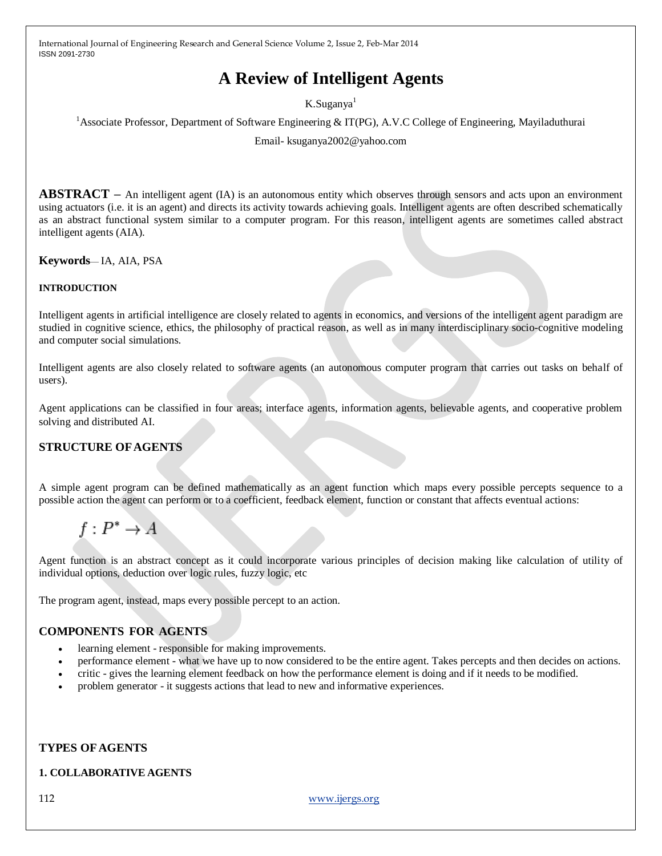# **A Review of Intelligent Agents**

K.Suganya<sup>1</sup>

<sup>1</sup>Associate Professor, Department of Software Engineering & IT(PG), A.V.C College of Engineering, Mayiladuthurai

Email- ksuganya2002@yahoo.com

**ABSTRACT** – An intelligent agent (IA) is an autonomous entity which observes through sensors and acts upon an environment using actuators (i.e. it is an agent) and directs its activity towards achieving goals. Intelligent agents are often described schematically as an abstract functional system similar to a computer program. For this reason, intelligent agents are sometimes called abstract intelligent agents (AIA).

**Keywords**— IA, AIA, PSA

#### **INTRODUCTION**

Intelligent agents in artificial intelligence are closely related to agents in economics, and versions of the intelligent agent paradigm are studied in cognitive science, ethics, the philosophy of practical reason, as well as in many interdisciplinary socio-cognitive modeling and computer social simulations.

Intelligent agents are also closely related to software agents (an autonomous computer program that carries out tasks on behalf of users).

Agent applications can be classified in four areas; interface agents, information agents, believable agents, and cooperative problem solving and distributed AI.

#### **STRUCTURE OF AGENTS**

A simple agent program can be defined mathematically as an agent function which maps every possible percepts sequence to a possible action the agent can perform or to a coefficient, feedback element, function or constant that affects eventual actions:

 $f: P^* \to A$ 

Agent function is an abstract concept as it could incorporate various principles of decision making like calculation of utility of individual options, deduction over logic rules, fuzzy logic, etc

The program agent, instead, maps every possible percept to an action.

#### **COMPONENTS FOR AGENTS**

- learning element responsible for making improvements.
- performance element what we have up to now considered to be the entire agent. Takes percepts and then decides on actions.
- critic gives the learning element feedback on how the performance element is doing and if it needs to be modified.
- problem generator it suggests actions that lead to new and informative experiences.

#### **TYPES OF AGENTS**

#### **1. COLLABORATIVE AGENTS**

112 [www.ijergs.org](http://www.ijergs.org/)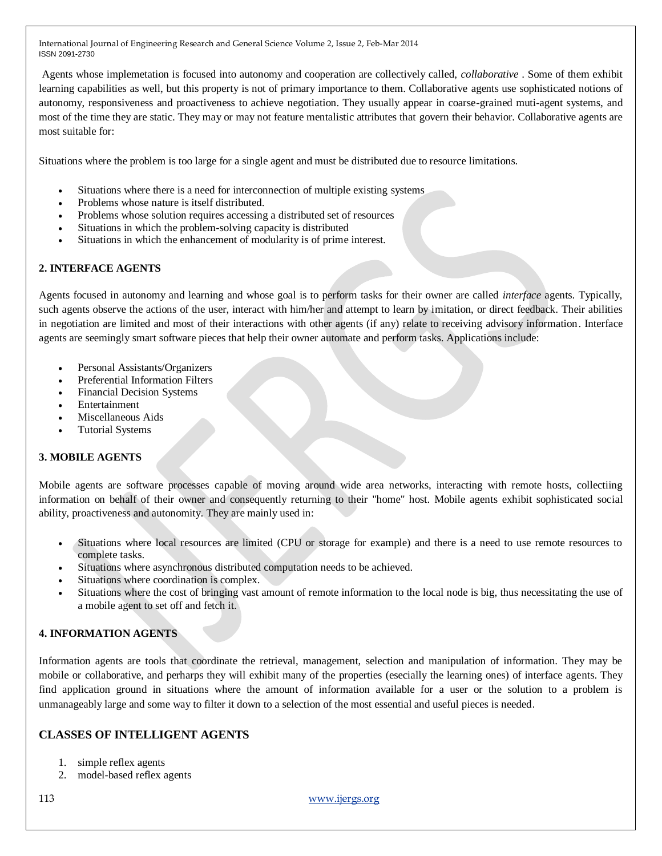Agents whose implemetation is focused into autonomy and cooperation are collectively called, *collaborative* . Some of them exhibit learning capabilities as well, but this property is not of primary importance to them. Collaborative agents use sophisticated notions of autonomy, responsiveness and proactiveness to achieve negotiation. They usually appear in coarse-grained muti-agent systems, and most of the time they are static. They may or may not feature mentalistic attributes that govern their behavior. Collaborative agents are most suitable for:

Situations where the problem is too large for a single agent and must be distributed due to resource limitations.

- Situations where there is a need for interconnection of multiple existing systems
- Problems whose nature is itself distributed.
- Problems whose solution requires accessing a distributed set of resources
- Situations in which the problem-solving capacity is distributed
- Situations in which the enhancement of modularity is of prime interest.

## **2. INTERFACE AGENTS**

Agents focused in autonomy and learning and whose goal is to perform tasks for their owner are called *interface* agents. Typically, such agents observe the actions of the user, interact with him/her and attempt to learn by imitation, or direct feedback. Their abilities in negotiation are limited and most of their interactions with other agents (if any) relate to receiving advisory information. Interface agents are seemingly smart software pieces that help their owner automate and perform tasks. Applications include:

- Personal Assistants/Organizers
- Preferential Information Filters
- Financial Decision Systems
- Entertainment
- Miscellaneous Aids
- Tutorial Systems

## **3. MOBILE AGENTS**

Mobile agents are software processes capable of moving around wide area networks, interacting with remote hosts, collectiing information on behalf of their owner and consequently returning to their "home" host. Mobile agents exhibit sophisticated social ability, proactiveness and autonomity. They are mainly used in:

- Situations where local resources are limited (CPU or storage for example) and there is a need to use remote resources to complete tasks.
- Situations where asynchronous distributed computation needs to be achieved.
- Situations where coordination is complex.
- Situations where the cost of bringing vast amount of remote information to the local node is big, thus necessitating the use of a mobile agent to set off and fetch it.

## **4. INFORMATION AGENTS**

Information agents are tools that coordinate the retrieval, management, selection and manipulation of information. They may be mobile or collaborative, and perharps they will exhibit many of the properties (esecially the learning ones) of interface agents. They find application ground in situations where the amount of information available for a user or the solution to a problem is unmanageably large and some way to filter it down to a selection of the most essential and useful pieces is needed.

## **CLASSES OF INTELLIGENT AGENTS**

- 1. simple reflex agents
- 2. model-based reflex agents

113 [www.ijergs.org](http://www.ijergs.org/)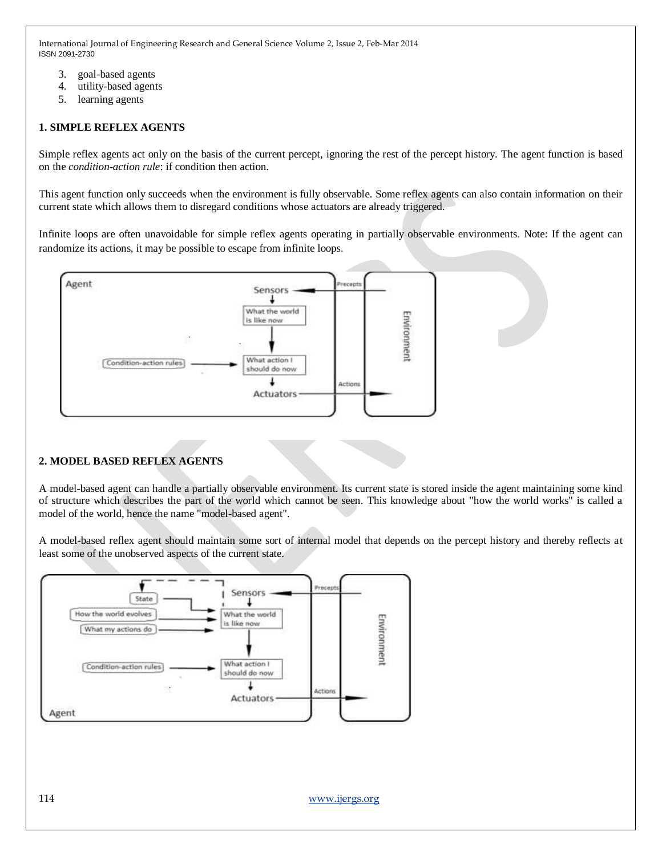- 3. goal-based agents
- 4. utility-based agents
- 5. learning agents

## **1. SIMPLE REFLEX AGENTS**

Simple reflex agents act only on the basis of the current percept, ignoring the rest of the percept history. The agent function is based on the *condition-action rule*: if condition then action.

This agent function only succeeds when the environment is fully observable. Some reflex agents can also contain information on their current state which allows them to disregard conditions whose actuators are already triggered.

Infinite loops are often unavoidable for simple reflex agents operating in partially observable environments. Note: If the agent can randomize its actions, it may be possible to escape from infinite loops.



## **2. MODEL BASED REFLEX AGENTS**

A model-based agent can handle a partially observable environment. Its current state is stored inside the agent maintaining some kind of structure which describes the part of the world which cannot be seen. This knowledge about "how the world works" is called a model of the world, hence the name "model-based agent".

A model-based reflex agent should maintain some sort of internal model that depends on the percept history and thereby reflects at least some of the unobserved aspects of the current state.

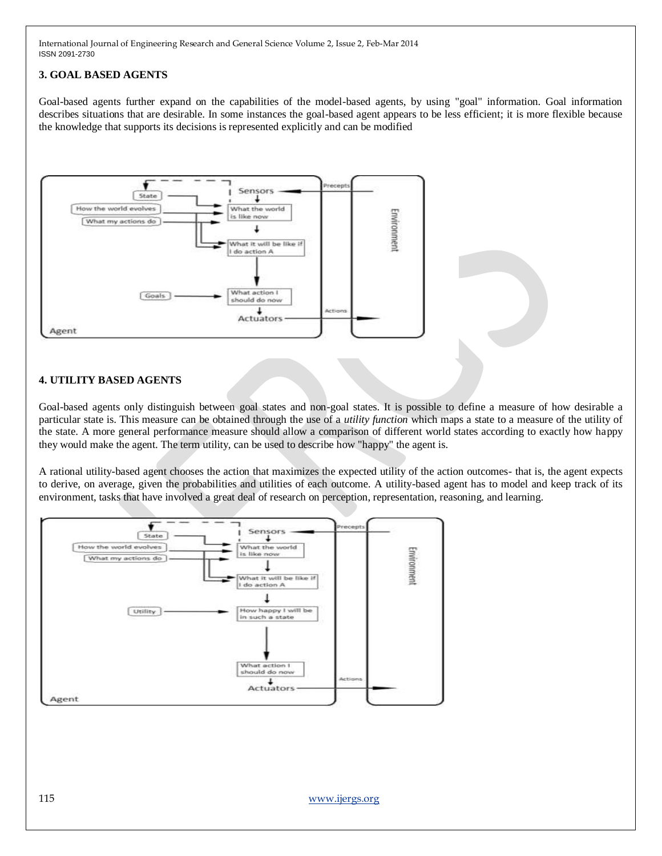## **3. GOAL BASED AGENTS**

Goal-based agents further expand on the capabilities of the model-based agents, by using "goal" information. Goal information describes situations that are desirable. In some instances the goal-based agent appears to be less efficient; it is more flexible because the knowledge that supports its decisions is represented explicitly and can be modified



#### **4. UTILITY BASED AGENTS**

Goal-based agents only distinguish between goal states and non-goal states. It is possible to define a measure of how desirable a particular state is. This measure can be obtained through the use of a *utility function* which maps a state to a measure of the utility of the state. A more general performance measure should allow a comparison of different world states according to exactly how happy they would make the agent. The term utility, can be used to describe how "happy" the agent is.

A rational utility-based agent chooses the action that maximizes the expected utility of the action outcomes- that is, the agent expects to derive, on average, given the probabilities and utilities of each outcome. A utility-based agent has to model and keep track of its environment, tasks that have involved a great deal of research on perception, representation, reasoning, and learning.

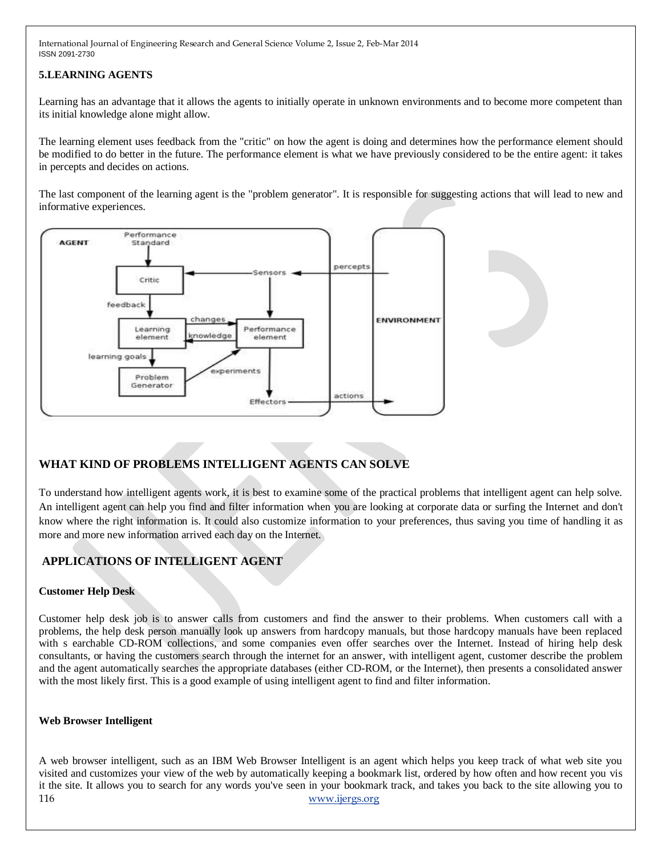#### **5.LEARNING AGENTS**

Learning has an advantage that it allows the agents to initially operate in unknown environments and to become more competent than its initial knowledge alone might allow.

The learning element uses feedback from the "critic" on how the agent is doing and determines how the performance element should be modified to do better in the future. The performance element is what we have previously considered to be the entire agent: it takes in percepts and decides on actions.

The last component of the learning agent is the "problem generator". It is responsible for suggesting actions that will lead to new and informative experiences.



# **WHAT KIND OF PROBLEMS INTELLIGENT AGENTS CAN SOLVE**

To understand how intelligent agents work, it is best to examine some of the practical problems that intelligent agent can help solve. An intelligent agent can help you find and filter information when you are looking at corporate data or surfing the Internet and don't know where the right information is. It could also customize information to your preferences, thus saving you time of handling it as more and more new information arrived each day on the Internet.

# **APPLICATIONS OF INTELLIGENT AGENT**

#### **Customer Help Desk**

Customer help desk job is to answer calls from customers and find the answer to their problems. When customers call with a problems, the help desk person manually look up answers from hardcopy manuals, but those hardcopy manuals have been replaced with s earchable CD-ROM collections, and some companies even offer searches over the Internet. Instead of hiring help desk consultants, or having the customers search through the internet for an answer, with intelligent agent, customer describe the problem and the agent automatically searches the appropriate databases (either CD-ROM, or the Internet), then presents a consolidated answer with the most likely first. This is a good example of using intelligent agent to find and filter information.

#### **Web Browser Intelligent**

116 [www.ijergs.org](http://www.ijergs.org/) A web browser intelligent, such as an IBM Web Browser Intelligent is an agent which helps you keep track of what web site you visited and customizes your view of the web by automatically keeping a bookmark list, ordered by how often and how recent you vis it the site. It allows you to search for any words you've seen in your bookmark track, and takes you back to the site allowing you to